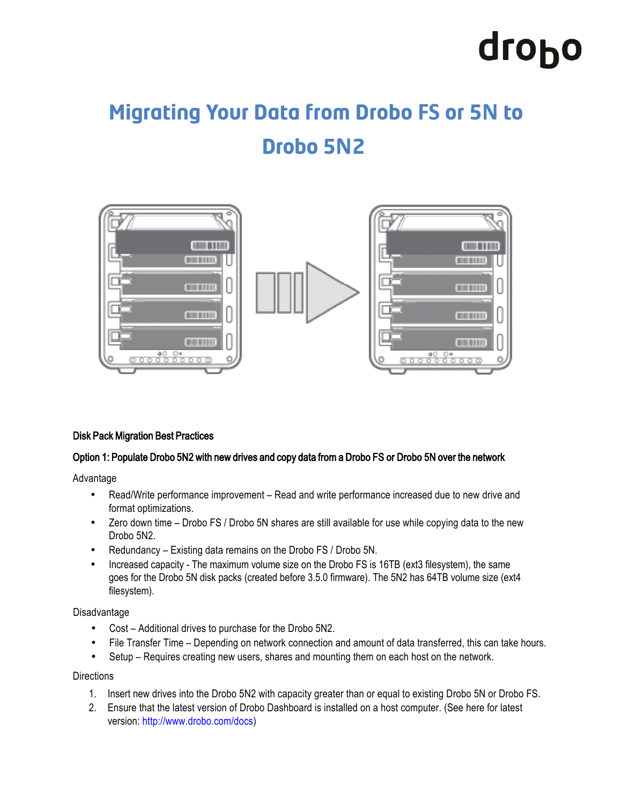# drobo

## **Migrating Your Data from Drobo FS or 5N to Drobo 5N2**



#### Disk Pack Migration Best Practices

#### Option 1: Populate Drobo 5N2 with new drives and copy data from a Drobo FS or Drobo 5N over the network

Advantage

- Read/Write performance improvement Read and write performance increased due to new drive and format optimizations.
- Zero down time Drobo FS / Drobo 5N shares are still available for use while copying data to the new Drobo 5N2.
- Redundancy Existing data remains on the Drobo FS / Drobo 5N.
- Increased capacity The maximum volume size on the Drobo FS is 16TB (ext3 filesystem), the same goes for the Drobo 5N disk packs (created before 3.5.0 firmware). The 5N2 has 64TB volume size (ext4 filesystem).

Disadvantage

- Cost Additional drives to purchase for the Drobo 5N2.
- File Transfer Time Depending on network connection and amount of data transferred, this can take hours.
- Setup Requires creating new users, shares and mounting them on each host on the network.

**Directions** 

- 1. Insert new drives into the Drobo 5N2 with capacity greater than or equal to existing Drobo 5N or Drobo FS.
- 2. Ensure that the latest version of Drobo Dashboard is installed on a host computer. (See here for latest version:<http://www.drobo.com/docs>)